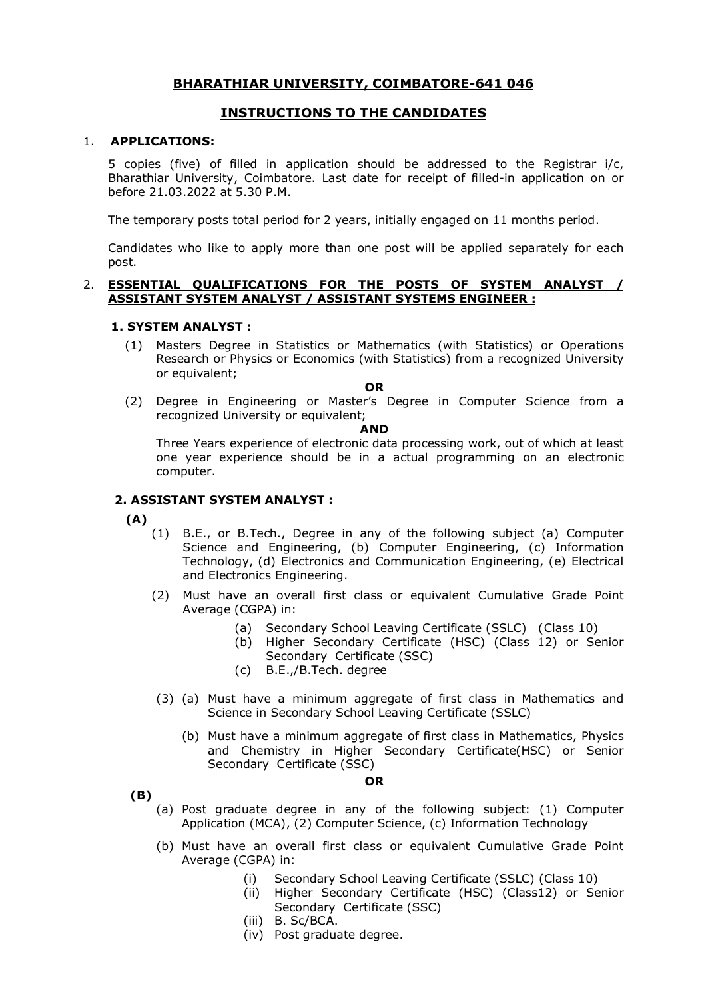# **BHARATHIAR UNIVERSITY, COIMBATORE-641 046**

## **INSTRUCTIONS TO THE CANDIDATES**

#### 1. **APPLICATIONS:**

5 copies (five) of filled in application should be addressed to the Registrar i/c, Bharathiar University, Coimbatore. Last date for receipt of filled-in application on or before 21.03.2022 at 5.30 P.M.

The temporary posts total period for 2 years, initially engaged on 11 months period.

Candidates who like to apply more than one post will be applied separately for each post.

## 2. **ESSENTIAL QUALIFICATIONS FOR THE POSTS OF SYSTEM ANALYST / ASSISTANT SYSTEM ANALYST / ASSISTANT SYSTEMS ENGINEER :**

#### **1. SYSTEM ANALYST :**

- (1) Masters Degree in Statistics or Mathematics (with Statistics) or Operations Research or Physics or Economics (with Statistics) from a recognized University or equivalent;
	- **OR**
- (2) Degree in Engineering or Master's Degree in Computer Science from a recognized University or equivalent;

#### **AND**

Three Years experience of electronic data processing work, out of which at least one year experience should be in a actual programming on an electronic computer.

## **2. ASSISTANT SYSTEM ANALYST :**

**(A)**

- (1) B.E., or B.Tech., Degree in any of the following subject (a) Computer Science and Engineering, (b) Computer Engineering, (c) Information Technology, (d) Electronics and Communication Engineering, (e) Electrical and Electronics Engineering.
- (2) Must have an overall first class or equivalent Cumulative Grade Point Average (CGPA) in:
	- (a) Secondary School Leaving Certificate (SSLC) (Class 10)
	- (b) Higher Secondary Certificate (HSC) (Class 12) or Senior Secondary Certificate (SSC)
	- (c) B.E.,/B.Tech. degree
- (3) (a) Must have a minimum aggregate of first class in Mathematics and Science in Secondary School Leaving Certificate (SSLC)
	- (b) Must have a minimum aggregate of first class in Mathematics, Physics and Chemistry in Higher Secondary Certificate(HSC) or Senior Secondary Certificate (SSC)

**OR**

 **(B)** 

- (a) Post graduate degree in any of the following subject: (1) Computer Application (MCA), (2) Computer Science, (c) Information Technology
- (b) Must have an overall first class or equivalent Cumulative Grade Point Average (CGPA) in:
	- (i) Secondary School Leaving Certificate (SSLC) (Class 10)<br>(ii) Higher Secondary Certificate (HSC) (Class 12) or Se
	- Higher Secondary Certificate (HSC) (Class12) or Senior Secondary Certificate (SSC)
	- (iii) B. Sc/BCA.
	- (iv) Post graduate degree.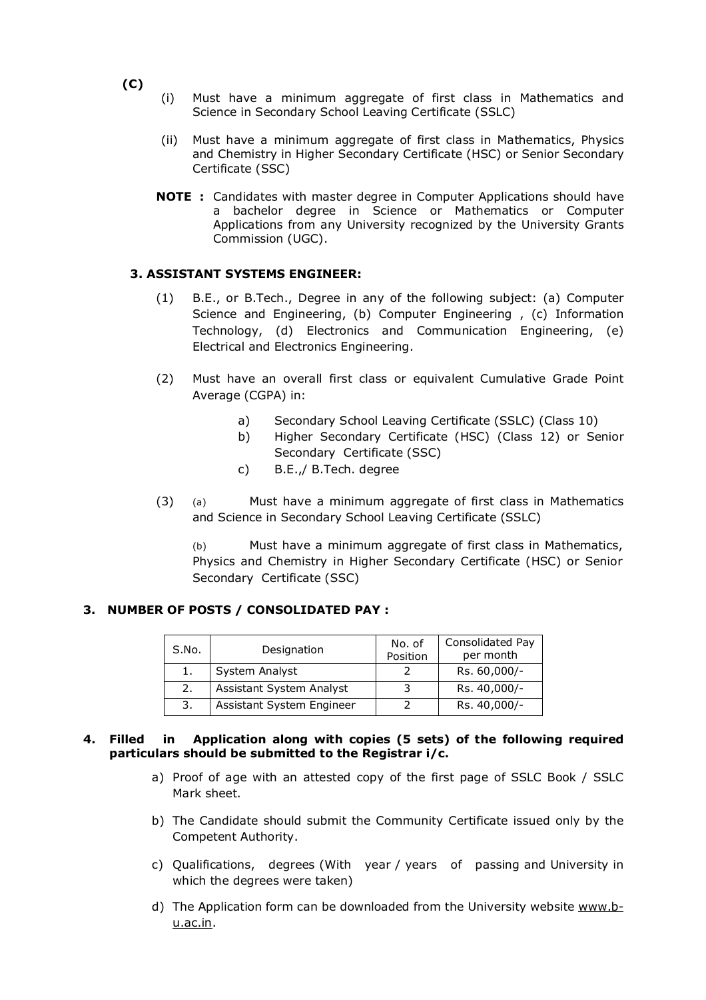- **(C)**
- (i) Must have a minimum aggregate of first class in Mathematics and Science in Secondary School Leaving Certificate (SSLC)
- (ii) Must have a minimum aggregate of first class in Mathematics, Physics and Chemistry in Higher Secondary Certificate (HSC) or Senior Secondary Certificate (SSC)
- **NOTE :** Candidates with master degree in Computer Applications should have a bachelor degree in Science or Mathematics or Computer Applications from any University recognized by the University Grants Commission (UGC).

## **3. ASSISTANT SYSTEMS ENGINEER:**

- (1) B.E., or B.Tech., Degree in any of the following subject: (a) Computer Science and Engineering, (b) Computer Engineering , (c) Information Technology, (d) Electronics and Communication Engineering, (e) Electrical and Electronics Engineering.
- (2) Must have an overall first class or equivalent Cumulative Grade Point Average (CGPA) in:
	- a) Secondary School Leaving Certificate (SSLC) (Class 10)
	- b) Higher Secondary Certificate (HSC) (Class 12) or Senior Secondary Certificate (SSC)
	- c) B.E.,/ B.Tech. degree
- (3) (a) Must have a minimum aggregate of first class in Mathematics and Science in Secondary School Leaving Certificate (SSLC)

(b) Must have a minimum aggregate of first class in Mathematics, Physics and Chemistry in Higher Secondary Certificate (HSC) or Senior Secondary Certificate (SSC)

## **3. NUMBER OF POSTS / CONSOLIDATED PAY :**

| S.No. | Designation               | No. of<br>Position | Consolidated Pay<br>per month |
|-------|---------------------------|--------------------|-------------------------------|
| 1.    | System Analyst            |                    | Rs. 60,000/-                  |
| 2.    | Assistant System Analyst  |                    | Rs. 40,000/-                  |
| 3.    | Assistant System Engineer |                    | Rs. 40,000/-                  |

## **4. Filled in Application along with copies (5 sets) of the following required particulars should be submitted to the Registrar i/c.**

- a) Proof of age with an attested copy of the first page of SSLC Book / SSLC Mark sheet.
- b) The Candidate should submit the Community Certificate issued only by the Competent Authority.
- c) Qualifications, degrees (With year / years of passing and University in which the degrees were taken)
- d) The Application form can be downloaded from the University website www.bu.ac.in.